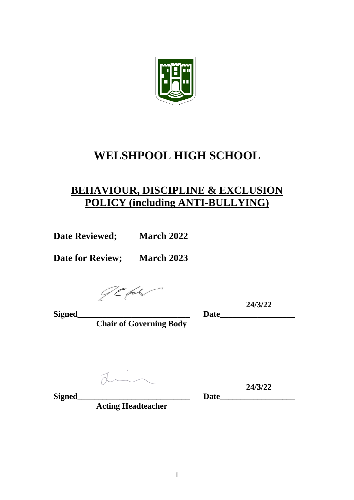

# **WELSHPOOL HIGH SCHOOL**

## **BEHAVIOUR, DISCIPLINE & EXCLUSION POLICY (including ANTI-BULLYING)**

**Date Reviewed; March 2022**

**Date for Review; March 2023**

JE fakt

**24/3/22**

**Signed\_\_\_\_\_\_\_\_\_\_\_\_\_\_\_\_\_\_\_\_\_\_\_\_\_\_\_ Date\_\_\_\_\_\_\_\_\_\_\_\_\_\_\_\_\_\_ Chair of Governing Body**

din

**24/3/22**

**Acting Headteacher**

**Signed\_\_\_\_\_\_\_\_\_\_\_\_\_\_\_\_\_\_\_\_\_\_\_\_\_\_\_ Date\_\_\_\_\_\_\_\_\_\_\_\_\_\_\_\_\_\_**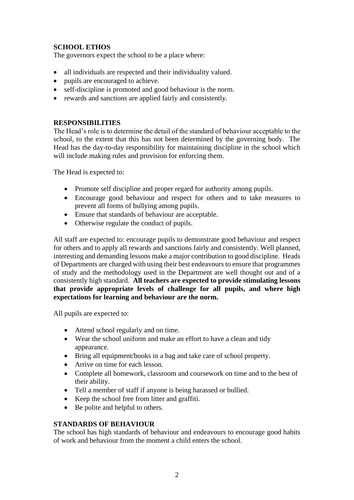## **SCHOOL ETHOS**

The governors expect the school to be a place where:

- all individuals are respected and their individuality valued.
- pupils are encouraged to achieve.
- self-discipline is promoted and good behaviour is the norm.
- rewards and sanctions are applied fairly and consistently.

## **RESPONSIBILITIES**

The Head's role is to determine the detail of the standard of behaviour acceptable to the school, to the extent that this has not been determined by the governing body. The Head has the day-to-day responsibility for maintaining discipline in the school which will include making rules and provision for enforcing them.

The Head is expected to:

- Promote self discipline and proper regard for authority among pupils.
- Encourage good behaviour and respect for others and to take measures to prevent all forms of bullying among pupils.
- Ensure that standards of behaviour are acceptable.
- Otherwise regulate the conduct of pupils.

All staff are expected to: encourage pupils to demonstrate good behaviour and respect for others and to apply all rewards and sanctions fairly and consistently. Well planned, interesting and demanding lessons make a major contribution to good discipline. Heads of Departments are charged with using their best endeavours to ensure that programmes of study and the methodology used in the Department are well thought out and of a consistently high standard. **All teachers are expected to provide stimulating lessons that provide appropriate levels of challenge for all pupils, and where high expectations for learning and behaviour are the norm.**

All pupils are expected to:

- Attend school regularly and on time.
- Wear the school uniform and make an effort to have a clean and tidy appearance.
- Bring all equipment/books in a bag and take care of school property.
- Arrive on time for each lesson.
- Complete all homework, classroom and coursework on time and to the best of their ability.
- Tell a member of staff if anyone is being harassed or bullied.
- Keep the school free from litter and graffiti.
- Be polite and helpful to others.

## **STANDARDS OF BEHAVIOUR**

The school has high standards of behaviour and endeavours to encourage good habits of work and behaviour from the moment a child enters the school.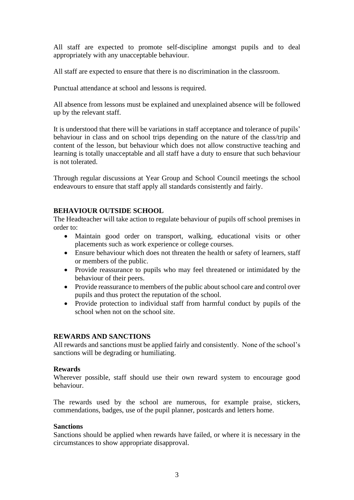All staff are expected to promote self-discipline amongst pupils and to deal appropriately with any unacceptable behaviour.

All staff are expected to ensure that there is no discrimination in the classroom.

Punctual attendance at school and lessons is required.

All absence from lessons must be explained and unexplained absence will be followed up by the relevant staff.

It is understood that there will be variations in staff acceptance and tolerance of pupils' behaviour in class and on school trips depending on the nature of the class/trip and content of the lesson, but behaviour which does not allow constructive teaching and learning is totally unacceptable and all staff have a duty to ensure that such behaviour is not tolerated.

Through regular discussions at Year Group and School Council meetings the school endeavours to ensure that staff apply all standards consistently and fairly.

## **BEHAVIOUR OUTSIDE SCHOOL**

The Headteacher will take action to regulate behaviour of pupils off school premises in order to:

- Maintain good order on transport, walking, educational visits or other placements such as work experience or college courses.
- Ensure behaviour which does not threaten the health or safety of learners, staff or members of the public.
- Provide reassurance to pupils who may feel threatened or intimidated by the behaviour of their peers.
- Provide reassurance to members of the public about school care and control over pupils and thus protect the reputation of the school.
- Provide protection to individual staff from harmful conduct by pupils of the school when not on the school site.

## **REWARDS AND SANCTIONS**

All rewards and sanctions must be applied fairly and consistently. None of the school's sanctions will be degrading or humiliating.

#### **Rewards**

Wherever possible, staff should use their own reward system to encourage good behaviour.

The rewards used by the school are numerous, for example praise, stickers, commendations, badges, use of the pupil planner, postcards and letters home.

#### **Sanctions**

Sanctions should be applied when rewards have failed, or where it is necessary in the circumstances to show appropriate disapproval.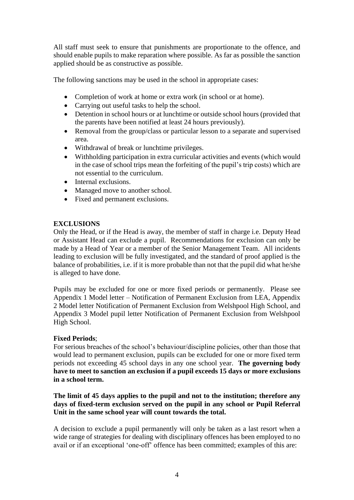All staff must seek to ensure that punishments are proportionate to the offence, and should enable pupils to make reparation where possible. As far as possible the sanction applied should be as constructive as possible.

The following sanctions may be used in the school in appropriate cases:

- Completion of work at home or extra work (in school or at home).
- Carrying out useful tasks to help the school.
- Detention in school hours or at lunchtime or outside school hours (provided that the parents have been notified at least 24 hours previously).
- Removal from the group/class or particular lesson to a separate and supervised area.
- Withdrawal of break or lunchtime privileges.
- Withholding participation in extra curricular activities and events (which would in the case of school trips mean the forfeiting of the pupil's trip costs) which are not essential to the curriculum.
- Internal exclusions.
- Managed move to another school.
- Fixed and permanent exclusions.

## **EXCLUSIONS**

Only the Head, or if the Head is away, the member of staff in charge i.e. Deputy Head or Assistant Head can exclude a pupil. Recommendations for exclusion can only be made by a Head of Year or a member of the Senior Management Team. All incidents leading to exclusion will be fully investigated, and the standard of proof applied is the balance of probabilities, i.e. if it is more probable than not that the pupil did what he/she is alleged to have done.

Pupils may be excluded for one or more fixed periods or permanently. Please see Appendix 1 Model letter – Notification of Permanent Exclusion from LEA, Appendix 2 Model letter Notification of Permanent Exclusion from Welshpool High School, and Appendix 3 Model pupil letter Notification of Permanent Exclusion from Welshpool High School.

## **Fixed Periods**;

For serious breaches of the school's behaviour/discipline policies, other than those that would lead to permanent exclusion, pupils can be excluded for one or more fixed term periods not exceeding 45 school days in any one school year. **The governing body have to meet to sanction an exclusion if a pupil exceeds 15 days or more exclusions in a school term.** 

**The limit of 45 days applies to the pupil and not to the institution; therefore any days of fixed-term exclusion served on the pupil in any school or Pupil Referral Unit in the same school year will count towards the total.**

A decision to exclude a pupil permanently will only be taken as a last resort when a wide range of strategies for dealing with disciplinary offences has been employed to no avail or if an exceptional 'one-off' offence has been committed; examples of this are: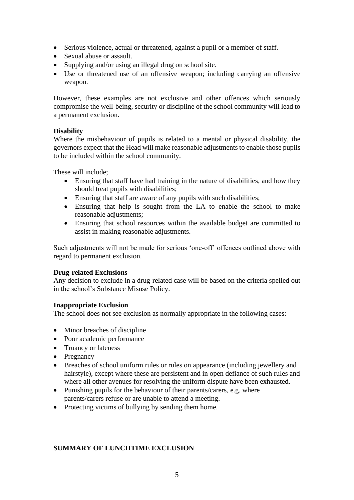- Serious violence, actual or threatened, against a pupil or a member of staff.
- Sexual abuse or assault.
- Supplying and/or using an illegal drug on school site.
- Use or threatened use of an offensive weapon; including carrying an offensive weapon.

However, these examples are not exclusive and other offences which seriously compromise the well-being, security or discipline of the school community will lead to a permanent exclusion.

## **Disability**

Where the misbehaviour of pupils is related to a mental or physical disability, the governors expect that the Head will make reasonable adjustments to enable those pupils to be included within the school community.

These will include;

- Ensuring that staff have had training in the nature of disabilities, and how they should treat pupils with disabilities;
- Ensuring that staff are aware of any pupils with such disabilities;
- Ensuring that help is sought from the LA to enable the school to make reasonable adjustments;
- Ensuring that school resources within the available budget are committed to assist in making reasonable adjustments.

Such adjustments will not be made for serious 'one-off' offences outlined above with regard to permanent exclusion.

## **Drug-related Exclusions**

Any decision to exclude in a drug-related case will be based on the criteria spelled out in the school's Substance Misuse Policy.

## **Inappropriate Exclusion**

The school does not see exclusion as normally appropriate in the following cases:

- Minor breaches of discipline
- Poor academic performance
- Truancy or lateness
- Pregnancy
- Breaches of school uniform rules or rules on appearance (including jewellery and hairstyle), except where these are persistent and in open defiance of such rules and where all other avenues for resolving the uniform dispute have been exhausted.
- Punishing pupils for the behaviour of their parents/carers, e.g. where parents/carers refuse or are unable to attend a meeting.
- Protecting victims of bullying by sending them home.

## **SUMMARY OF LUNCHTIME EXCLUSION**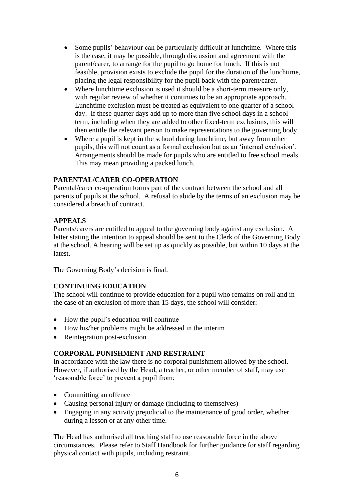- Some pupils' behaviour can be particularly difficult at lunchtime. Where this is the case, it may be possible, through discussion and agreement with the parent/carer, to arrange for the pupil to go home for lunch. If this is not feasible, provision exists to exclude the pupil for the duration of the lunchtime, placing the legal responsibility for the pupil back with the parent/carer.
- Where lunchtime exclusion is used it should be a short-term measure only, with regular review of whether it continues to be an appropriate approach. Lunchtime exclusion must be treated as equivalent to one quarter of a school day. If these quarter days add up to more than five school days in a school term, including when they are added to other fixed-term exclusions, this will then entitle the relevant person to make representations to the governing body.
- Where a pupil is kept in the school during lunchtime, but away from other pupils, this will not count as a formal exclusion but as an 'internal exclusion'. Arrangements should be made for pupils who are entitled to free school meals. This may mean providing a packed lunch.

#### **PARENTAL/CARER CO-OPERATION**

Parental/carer co-operation forms part of the contract between the school and all parents of pupils at the school. A refusal to abide by the terms of an exclusion may be considered a breach of contract.

#### **APPEALS**

Parents/carers are entitled to appeal to the governing body against any exclusion. A letter stating the intention to appeal should be sent to the Clerk of the Governing Body at the school. A hearing will be set up as quickly as possible, but within 10 days at the latest.

The Governing Body's decision is final.

## **CONTINUING EDUCATION**

The school will continue to provide education for a pupil who remains on roll and in the case of an exclusion of more than 15 days, the school will consider:

- How the pupil's education will continue
- How his/her problems might be addressed in the interim
- Reintegration post-exclusion

## **CORPORAL PUNISHMENT AND RESTRAINT**

In accordance with the law there is no corporal punishment allowed by the school. However, if authorised by the Head, a teacher, or other member of staff, may use 'reasonable force' to prevent a pupil from;

- Committing an offence
- Causing personal injury or damage (including to themselves)
- Engaging in any activity prejudicial to the maintenance of good order, whether during a lesson or at any other time.

The Head has authorised all teaching staff to use reasonable force in the above circumstances. Please refer to Staff Handbook for further guidance for staff regarding physical contact with pupils, including restraint.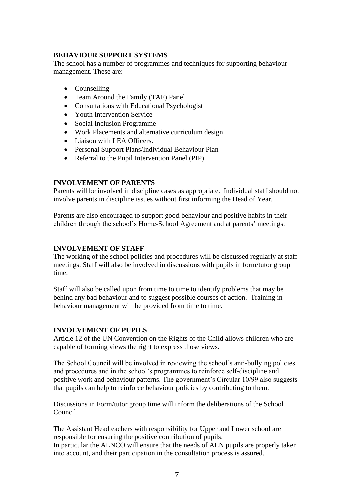## **BEHAVIOUR SUPPORT SYSTEMS**

The school has a number of programmes and techniques for supporting behaviour management. These are:

- Counselling
- Team Around the Family (TAF) Panel
- Consultations with Educational Psychologist
- Youth Intervention Service
- Social Inclusion Programme
- Work Placements and alternative curriculum design
- Liaison with LEA Officers.
- Personal Support Plans/Individual Behaviour Plan
- Referral to the Pupil Intervention Panel (PIP)

#### **INVOLVEMENT OF PARENTS**

Parents will be involved in discipline cases as appropriate. Individual staff should not involve parents in discipline issues without first informing the Head of Year.

Parents are also encouraged to support good behaviour and positive habits in their children through the school's Home-School Agreement and at parents' meetings.

#### **INVOLVEMENT OF STAFF**

The working of the school policies and procedures will be discussed regularly at staff meetings. Staff will also be involved in discussions with pupils in form/tutor group time.

Staff will also be called upon from time to time to identify problems that may be behind any bad behaviour and to suggest possible courses of action. Training in behaviour management will be provided from time to time.

## **INVOLVEMENT OF PUPILS**

Article 12 of the UN Convention on the Rights of the Child allows children who are capable of forming views the right to express those views.

The School Council will be involved in reviewing the school's anti-bullying policies and procedures and in the school's programmes to reinforce self-discipline and positive work and behaviour patterns. The government's Circular 10/99 also suggests that pupils can help to reinforce behaviour policies by contributing to them.

Discussions in Form/tutor group time will inform the deliberations of the School Council.

The Assistant Headteachers with responsibility for Upper and Lower school are responsible for ensuring the positive contribution of pupils. In particular the ALNCO will ensure that the needs of ALN pupils are properly taken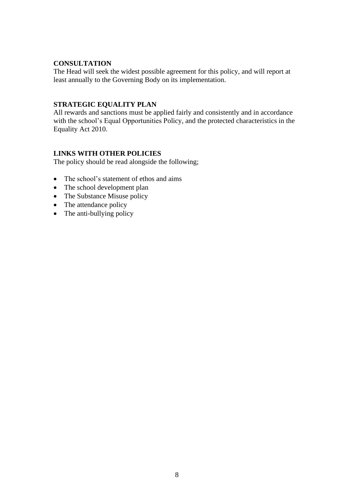#### **CONSULTATION**

The Head will seek the widest possible agreement for this policy, and will report at least annually to the Governing Body on its implementation.

#### **STRATEGIC EQUALITY PLAN**

All rewards and sanctions must be applied fairly and consistently and in accordance with the school's Equal Opportunities Policy, and the protected characteristics in the Equality Act 2010.

## **LINKS WITH OTHER POLICIES**

The policy should be read alongside the following;

- The school's statement of ethos and aims
- The school development plan
- The Substance Misuse policy
- The attendance policy
- The anti-bullying policy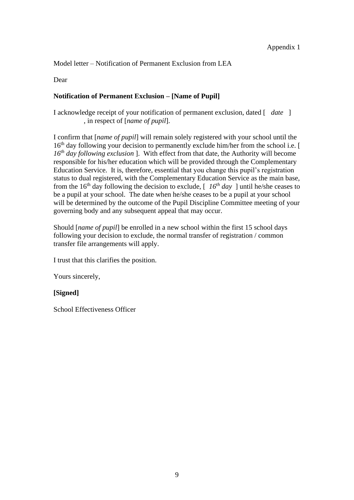Model letter – Notification of Permanent Exclusion from LEA

Dear

## **Notification of Permanent Exclusion – [Name of Pupil]**

I acknowledge receipt of your notification of permanent exclusion, dated [ *date* ] , in respect of [*name of pupil*].

I confirm that [*name of pupil*] will remain solely registered with your school until the 16<sup>th</sup> day following your decision to permanently exclude him/her from the school i.e. [ *16th day following exclusion* ]. With effect from that date, the Authority will become responsible for his/her education which will be provided through the Complementary Education Service. It is, therefore, essential that you change this pupil's registration status to dual registered, with the Complementary Education Service as the main base, from the 16<sup>th</sup> day following the decision to exclude,  $\int$  16<sup>th</sup> day ] until he/she ceases to be a pupil at your school. The date when he/she ceases to be a pupil at your school will be determined by the outcome of the Pupil Discipline Committee meeting of your governing body and any subsequent appeal that may occur.

Should [*name of pupil*] be enrolled in a new school within the first 15 school days following your decision to exclude, the normal transfer of registration / common transfer file arrangements will apply.

I trust that this clarifies the position.

Yours sincerely,

## **[Signed]**

School Effectiveness Officer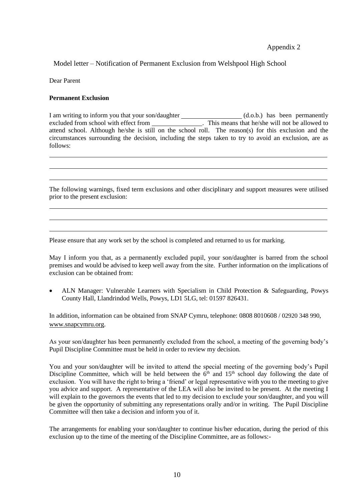#### Appendix 2

Model letter – Notification of Permanent Exclusion from Welshpool High School

Dear Parent

#### **Permanent Exclusion**

I am writing to inform you that your son/daughter \_\_\_\_\_\_\_\_\_\_\_\_\_\_\_\_\_\_\_\_(d.o.b.) has been permanently excluded from school with effect from \_\_\_\_\_\_\_\_\_\_\_\_\_\_\_\_\_\_. This means that he/she will not be allowed to attend school. Although he/she is still on the school roll. The reason(s) for this exclusion and the circumstances surrounding the decision, including the steps taken to try to avoid an exclusion, are as follows:

The following warnings, fixed term exclusions and other disciplinary and support measures were utilised prior to the present exclusion:

Please ensure that any work set by the school is completed and returned to us for marking.

May I inform you that, as a permanently excluded pupil, your son/daughter is barred from the school premises and would be advised to keep well away from the site. Further information on the implications of exclusion can be obtained from:

• ALN Manager: Vulnerable Learners with Specialism in Child Protection & Safeguarding, Powys County Hall, Llandrindod Wells, Powys, LD1 5LG, tel: 01597 826431.

In addition, information can be obtained from SNAP Cymru, telephone: 0808 8010608 / 02920 348 990, [www.snapcymru.org.](http://www.snapcymru.org/)

As your son/daughter has been permanently excluded from the school, a meeting of the governing body's Pupil Discipline Committee must be held in order to review my decision.

You and your son/daughter will be invited to attend the special meeting of the governing body's Pupil Discipline Committee, which will be held between the  $6<sup>th</sup>$  and  $15<sup>th</sup>$  school day following the date of exclusion. You will have the right to bring a 'friend' or legal representative with you to the meeting to give you advice and support. A representative of the LEA will also be invited to be present. At the meeting I will explain to the governors the events that led to my decision to exclude your son/daughter, and you will be given the opportunity of submitting any representations orally and/or in writing. The Pupil Discipline Committee will then take a decision and inform you of it.

The arrangements for enabling your son/daughter to continue his/her education, during the period of this exclusion up to the time of the meeting of the Discipline Committee, are as follows:-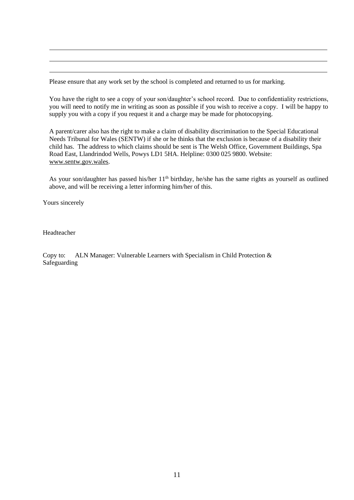Please ensure that any work set by the school is completed and returned to us for marking.

You have the right to see a copy of your son/daughter's school record. Due to confidentiality restrictions, you will need to notify me in writing as soon as possible if you wish to receive a copy. I will be happy to supply you with a copy if you request it and a charge may be made for photocopying.

A parent/carer also has the right to make a claim of disability discrimination to the Special Educational Needs Tribunal for Wales (SENTW) if she or he thinks that the exclusion is because of a disability their child has. The address to which claims should be sent is The Welsh Office, Government Buildings, Spa Road East, Llandrindod Wells, Powys LD1 5HA. Helpline: 0300 025 9800. Website: [www.sentw.gov.wales.](http://www.sentw.gov.wales/)

As your son/daughter has passed his/her  $11<sup>th</sup>$  birthday, he/she has the same rights as yourself as outlined above, and will be receiving a letter informing him/her of this.

Yours sincerely

Headteacher

Copy to: ALN Manager: Vulnerable Learners with Specialism in Child Protection & Safeguarding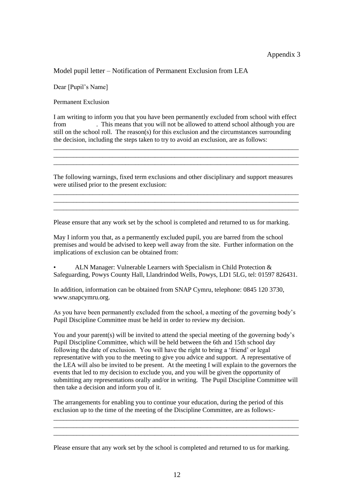Model pupil letter – Notification of Permanent Exclusion from LEA

Dear [Pupil's Name]

Permanent Exclusion

I am writing to inform you that you have been permanently excluded from school with effect from . This means that you will not be allowed to attend school although you are still on the school roll. The reason(s) for this exclusion and the circumstances surrounding the decision, including the steps taken to try to avoid an exclusion, are as follows:

\_\_\_\_\_\_\_\_\_\_\_\_\_\_\_\_\_\_\_\_\_\_\_\_\_\_\_\_\_\_\_\_\_\_\_\_\_\_\_\_\_\_\_\_\_\_\_\_\_\_\_\_\_\_\_\_\_\_\_\_\_\_\_\_\_\_\_\_\_\_\_\_\_\_\_ \_\_\_\_\_\_\_\_\_\_\_\_\_\_\_\_\_\_\_\_\_\_\_\_\_\_\_\_\_\_\_\_\_\_\_\_\_\_\_\_\_\_\_\_\_\_\_\_\_\_\_\_\_\_\_\_\_\_\_\_\_\_\_\_\_\_\_\_\_\_\_\_\_\_\_ \_\_\_\_\_\_\_\_\_\_\_\_\_\_\_\_\_\_\_\_\_\_\_\_\_\_\_\_\_\_\_\_\_\_\_\_\_\_\_\_\_\_\_\_\_\_\_\_\_\_\_\_\_\_\_\_\_\_\_\_\_\_\_\_\_\_\_\_\_\_\_\_\_\_\_

The following warnings, fixed term exclusions and other disciplinary and support measures were utilised prior to the present exclusion:

\_\_\_\_\_\_\_\_\_\_\_\_\_\_\_\_\_\_\_\_\_\_\_\_\_\_\_\_\_\_\_\_\_\_\_\_\_\_\_\_\_\_\_\_\_\_\_\_\_\_\_\_\_\_\_\_\_\_\_\_\_\_\_\_\_\_\_\_\_\_\_\_\_\_\_ \_\_\_\_\_\_\_\_\_\_\_\_\_\_\_\_\_\_\_\_\_\_\_\_\_\_\_\_\_\_\_\_\_\_\_\_\_\_\_\_\_\_\_\_\_\_\_\_\_\_\_\_\_\_\_\_\_\_\_\_\_\_\_\_\_\_\_\_\_\_\_\_\_\_\_ \_\_\_\_\_\_\_\_\_\_\_\_\_\_\_\_\_\_\_\_\_\_\_\_\_\_\_\_\_\_\_\_\_\_\_\_\_\_\_\_\_\_\_\_\_\_\_\_\_\_\_\_\_\_\_\_\_\_\_\_\_\_\_\_\_\_\_\_\_\_\_\_\_\_\_

Please ensure that any work set by the school is completed and returned to us for marking.

May I inform you that, as a permanently excluded pupil, you are barred from the school premises and would be advised to keep well away from the site. Further information on the implications of exclusion can be obtained from:

• ALN Manager: Vulnerable Learners with Specialism in Child Protection & Safeguarding, Powys County Hall, Llandrindod Wells, Powys, LD1 5LG, tel: 01597 826431.

In addition, information can be obtained from SNAP Cymru, telephone: 0845 120 3730, www.snapcymru.org.

As you have been permanently excluded from the school, a meeting of the governing body's Pupil Discipline Committee must be held in order to review my decision.

You and your parent(s) will be invited to attend the special meeting of the governing body's Pupil Discipline Committee, which will be held between the 6th and 15th school day following the date of exclusion. You will have the right to bring a 'friend' or legal representative with you to the meeting to give you advice and support. A representative of the LEA will also be invited to be present. At the meeting I will explain to the governors the events that led to my decision to exclude you, and you will be given the opportunity of submitting any representations orally and/or in writing. The Pupil Discipline Committee will then take a decision and inform you of it.

The arrangements for enabling you to continue your education, during the period of this exclusion up to the time of the meeting of the Discipline Committee, are as follows:-

\_\_\_\_\_\_\_\_\_\_\_\_\_\_\_\_\_\_\_\_\_\_\_\_\_\_\_\_\_\_\_\_\_\_\_\_\_\_\_\_\_\_\_\_\_\_\_\_\_\_\_\_\_\_\_\_\_\_\_\_\_\_\_\_\_\_\_\_\_\_\_\_\_\_\_ \_\_\_\_\_\_\_\_\_\_\_\_\_\_\_\_\_\_\_\_\_\_\_\_\_\_\_\_\_\_\_\_\_\_\_\_\_\_\_\_\_\_\_\_\_\_\_\_\_\_\_\_\_\_\_\_\_\_\_\_\_\_\_\_\_\_\_\_\_\_\_\_\_\_\_ \_\_\_\_\_\_\_\_\_\_\_\_\_\_\_\_\_\_\_\_\_\_\_\_\_\_\_\_\_\_\_\_\_\_\_\_\_\_\_\_\_\_\_\_\_\_\_\_\_\_\_\_\_\_\_\_\_\_\_\_\_\_\_\_\_\_\_\_\_\_\_\_\_\_\_

Please ensure that any work set by the school is completed and returned to us for marking.